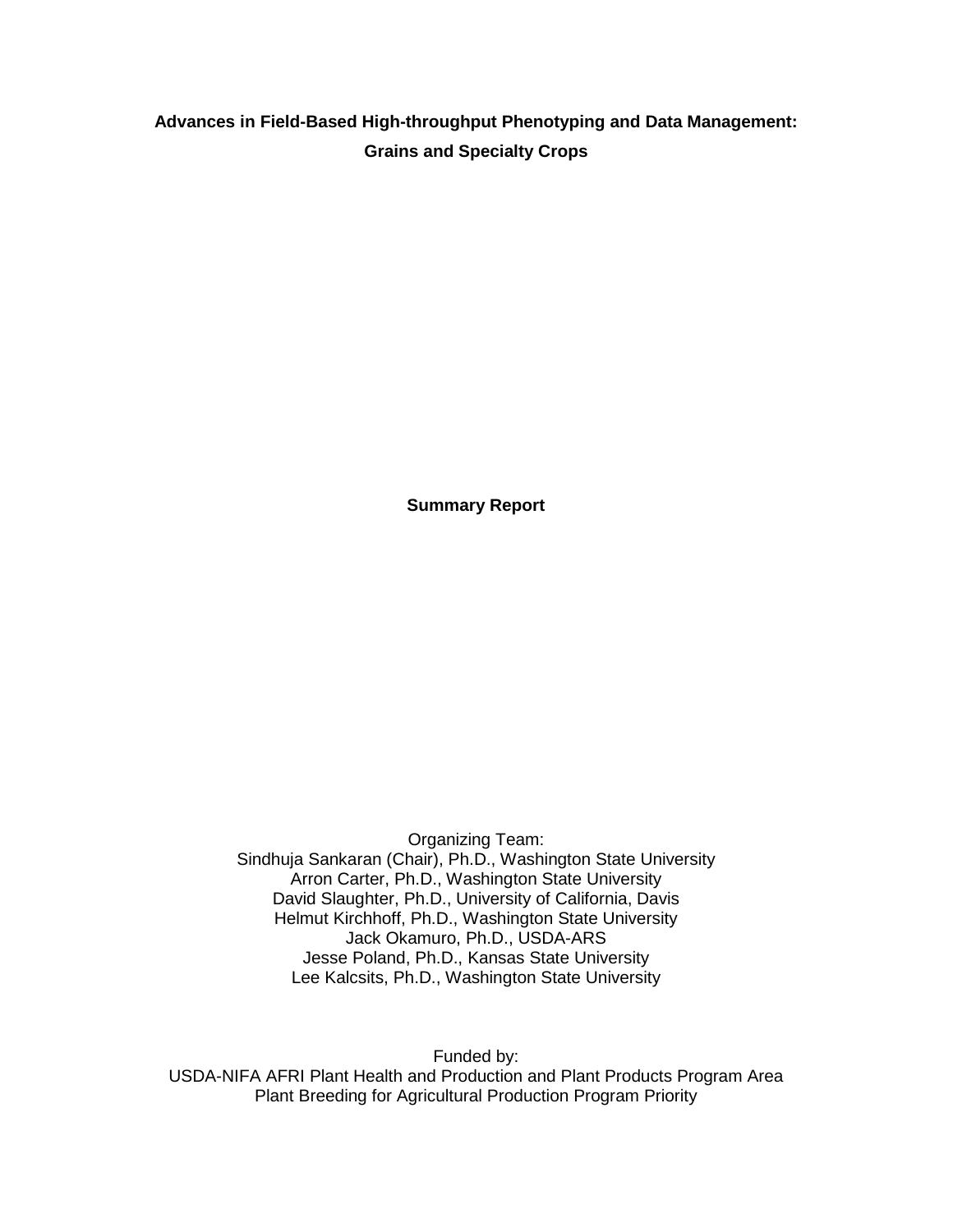# **Advances in Field-Based High-throughput Phenotyping and Data Management: Grains and Specialty Crops**

**Summary Report**

Organizing Team: Sindhuja Sankaran (Chair), Ph.D., Washington State University Arron Carter, Ph.D., Washington State University David Slaughter, Ph.D., University of California, Davis Helmut Kirchhoff, Ph.D., Washington State University Jack Okamuro, Ph.D., USDA-ARS Jesse Poland, Ph.D., Kansas State University Lee Kalcsits, Ph.D., Washington State University

Funded by: USDA-NIFA AFRI Plant Health and Production and Plant Products Program Area Plant Breeding for Agricultural Production Program Priority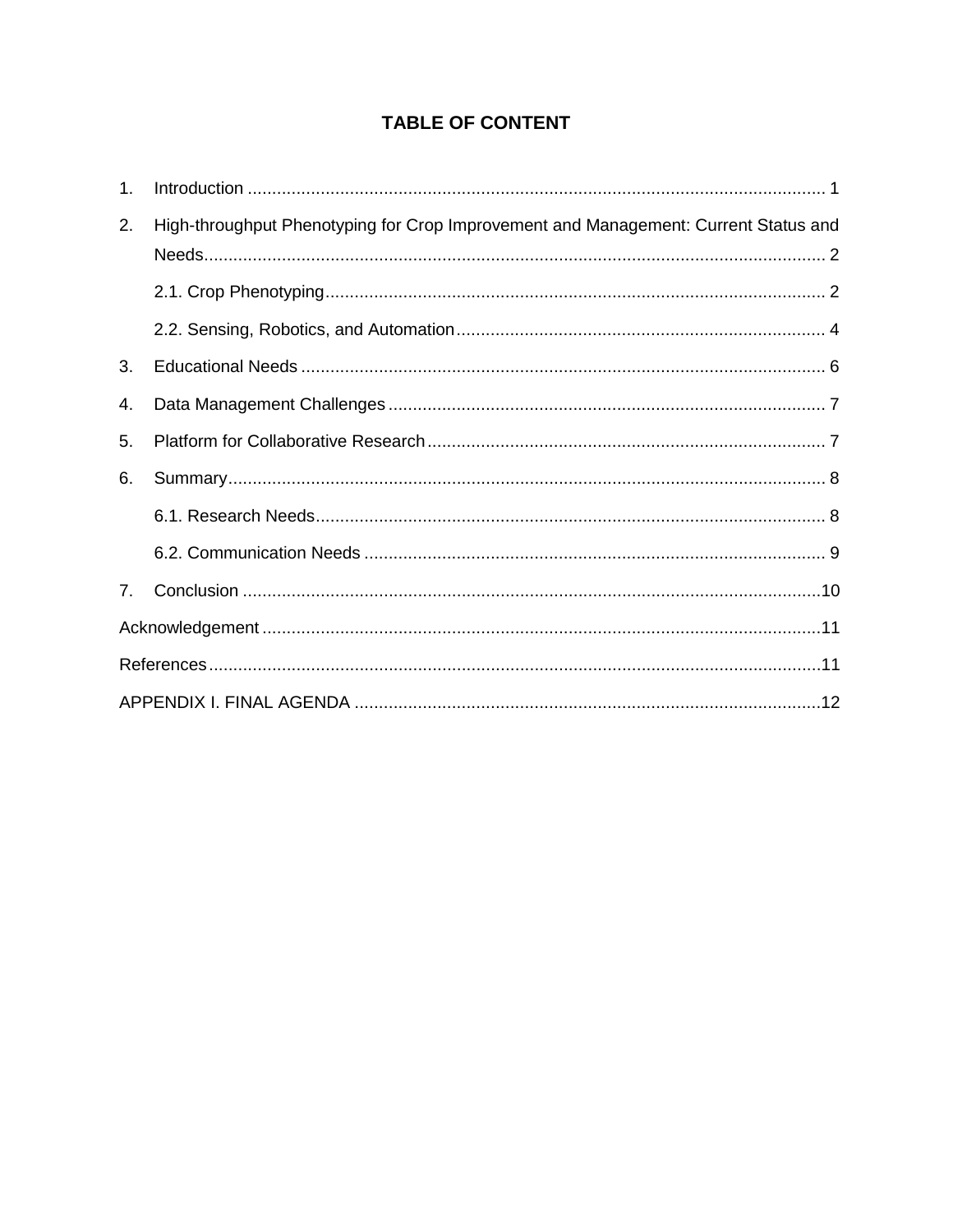# **TABLE OF CONTENT**

| 1.             |                                                                                     |  |  |
|----------------|-------------------------------------------------------------------------------------|--|--|
| 2.             | High-throughput Phenotyping for Crop Improvement and Management: Current Status and |  |  |
|                |                                                                                     |  |  |
|                |                                                                                     |  |  |
| 3.             |                                                                                     |  |  |
| 4.             |                                                                                     |  |  |
| 5.             |                                                                                     |  |  |
| 6.             |                                                                                     |  |  |
|                |                                                                                     |  |  |
|                |                                                                                     |  |  |
| 7 <sub>1</sub> |                                                                                     |  |  |
|                |                                                                                     |  |  |
|                |                                                                                     |  |  |
|                |                                                                                     |  |  |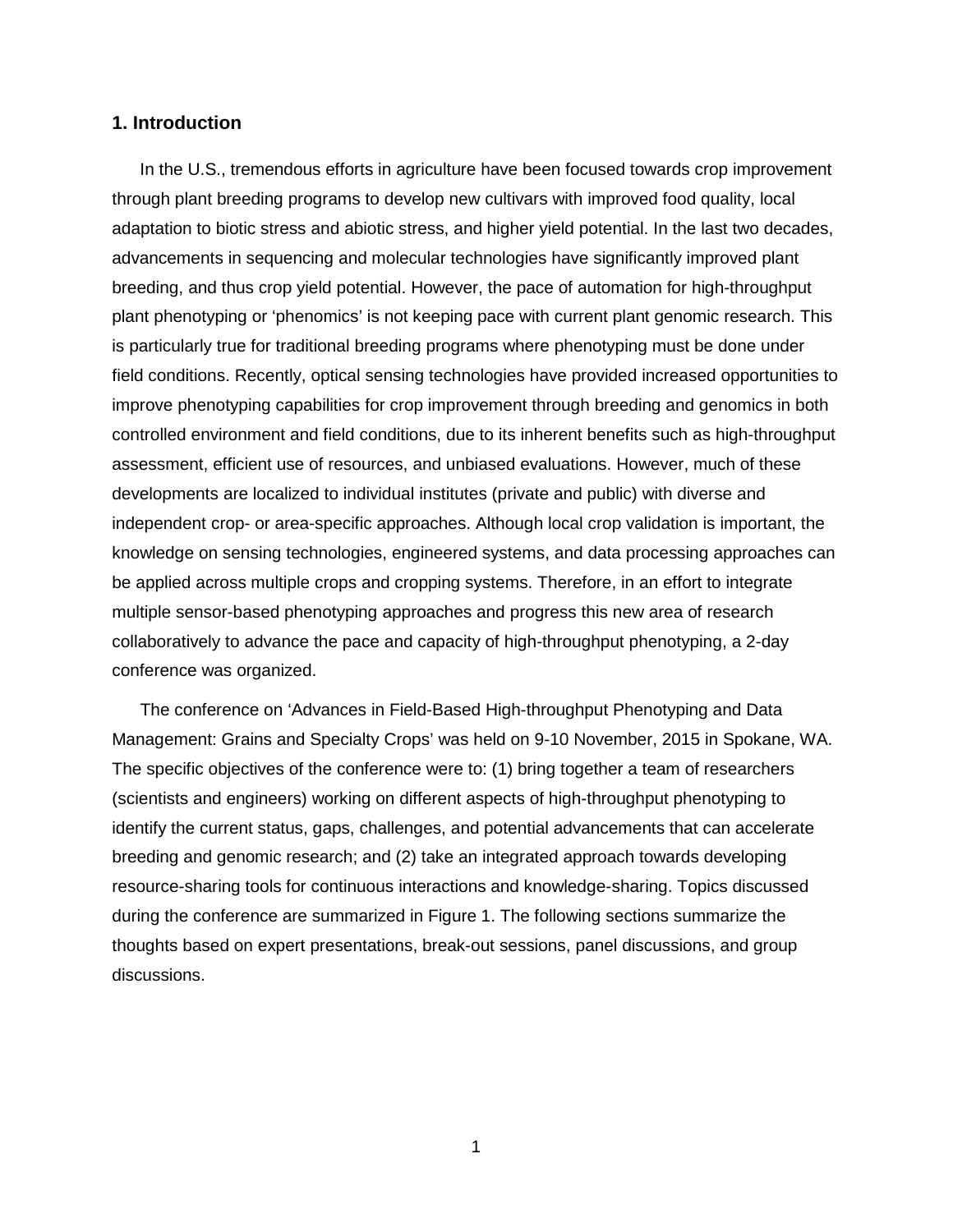## <span id="page-2-0"></span>**1. Introduction**

In the U.S., tremendous efforts in agriculture have been focused towards crop improvement through plant breeding programs to develop new cultivars with improved food quality, local adaptation to biotic stress and abiotic stress, and higher yield potential. In the last two decades, advancements in sequencing and molecular technologies have significantly improved plant breeding, and thus crop yield potential. However, the pace of automation for high-throughput plant phenotyping or 'phenomics' is not keeping pace with current plant genomic research. This is particularly true for traditional breeding programs where phenotyping must be done under field conditions. Recently, optical sensing technologies have provided increased opportunities to improve phenotyping capabilities for crop improvement through breeding and genomics in both controlled environment and field conditions, due to its inherent benefits such as high-throughput assessment, efficient use of resources, and unbiased evaluations. However, much of these developments are localized to individual institutes (private and public) with diverse and independent crop- or area-specific approaches. Although local crop validation is important, the knowledge on sensing technologies, engineered systems, and data processing approaches can be applied across multiple crops and cropping systems. Therefore, in an effort to integrate multiple sensor-based phenotyping approaches and progress this new area of research collaboratively to advance the pace and capacity of high-throughput phenotyping, a 2-day conference was organized.

The conference on 'Advances in Field-Based High-throughput Phenotyping and Data Management: Grains and Specialty Crops' was held on 9-10 November, 2015 in Spokane, WA. The specific objectives of the conference were to: (1) bring together a team of researchers (scientists and engineers) working on different aspects of high-throughput phenotyping to identify the current status, gaps, challenges, and potential advancements that can accelerate breeding and genomic research; and (2) take an integrated approach towards developing resource-sharing tools for continuous interactions and knowledge-sharing. Topics discussed during the conference are summarized in Figure 1. The following sections summarize the thoughts based on expert presentations, break-out sessions, panel discussions, and group discussions.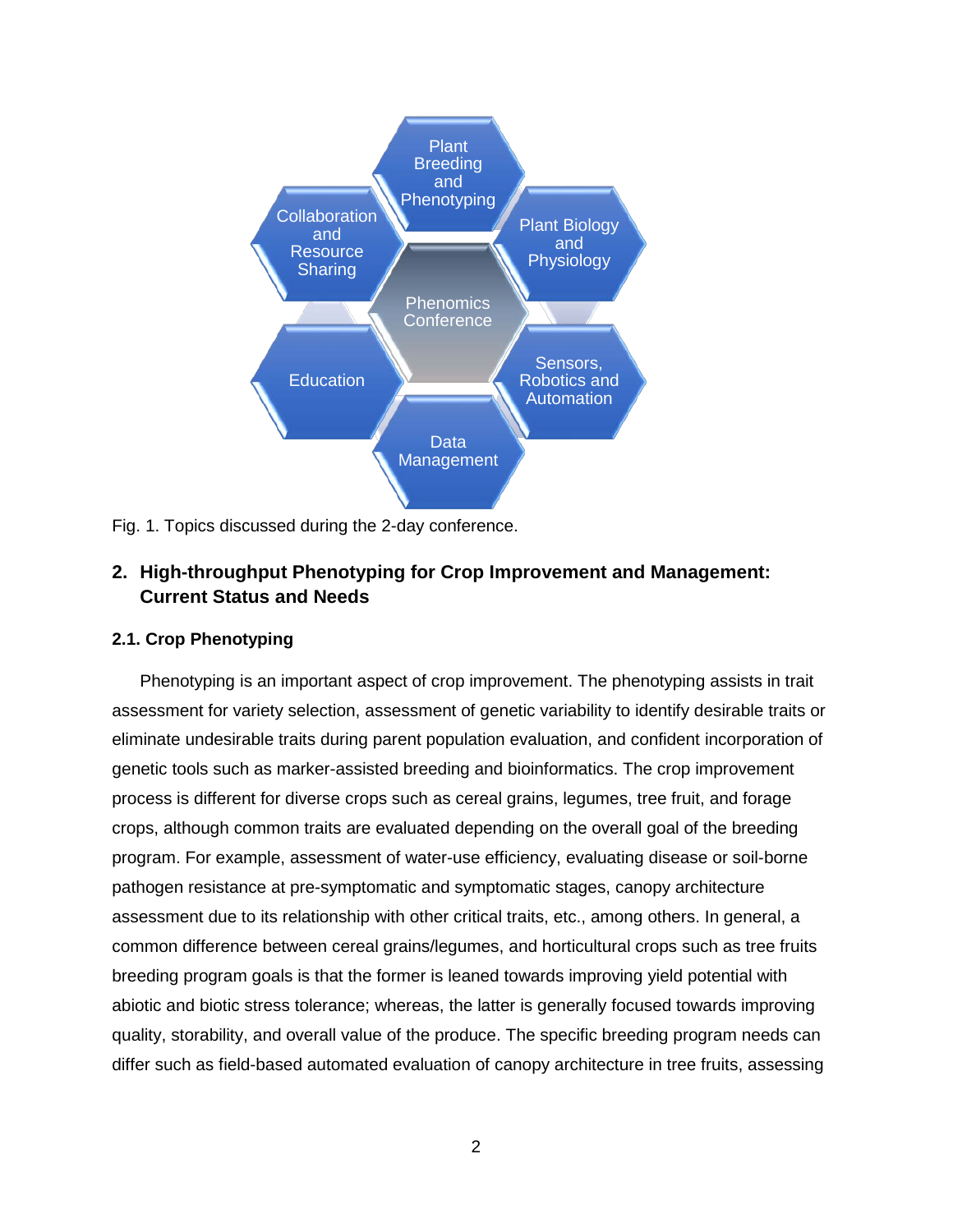

Fig. 1. Topics discussed during the 2-day conference.

## <span id="page-3-0"></span>**2. High-throughput Phenotyping for Crop Improvement and Management: Current Status and Needs**

## <span id="page-3-1"></span>**2.1. Crop Phenotyping**

Phenotyping is an important aspect of crop improvement. The phenotyping assists in trait assessment for variety selection, assessment of genetic variability to identify desirable traits or eliminate undesirable traits during parent population evaluation, and confident incorporation of genetic tools such as marker-assisted breeding and bioinformatics. The crop improvement process is different for diverse crops such as cereal grains, legumes, tree fruit, and forage crops, although common traits are evaluated depending on the overall goal of the breeding program. For example, assessment of water-use efficiency, evaluating disease or soil-borne pathogen resistance at pre-symptomatic and symptomatic stages, canopy architecture assessment due to its relationship with other critical traits, etc., among others. In general, a common difference between cereal grains/legumes, and horticultural crops such as tree fruits breeding program goals is that the former is leaned towards improving yield potential with abiotic and biotic stress tolerance; whereas, the latter is generally focused towards improving quality, storability, and overall value of the produce. The specific breeding program needs can differ such as field-based automated evaluation of canopy architecture in tree fruits, assessing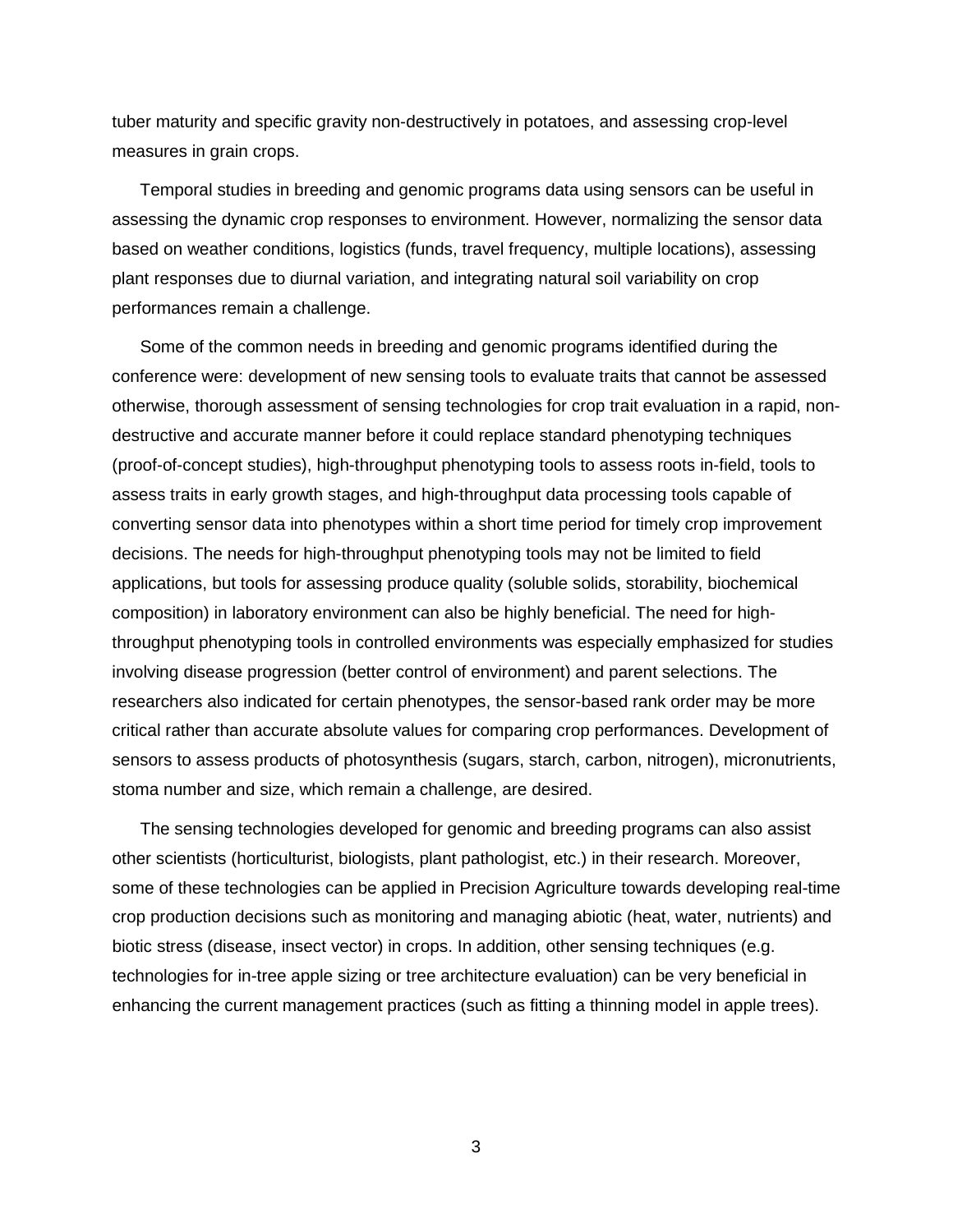tuber maturity and specific gravity non-destructively in potatoes, and assessing crop-level measures in grain crops.

Temporal studies in breeding and genomic programs data using sensors can be useful in assessing the dynamic crop responses to environment. However, normalizing the sensor data based on weather conditions, logistics (funds, travel frequency, multiple locations), assessing plant responses due to diurnal variation, and integrating natural soil variability on crop performances remain a challenge.

Some of the common needs in breeding and genomic programs identified during the conference were: development of new sensing tools to evaluate traits that cannot be assessed otherwise, thorough assessment of sensing technologies for crop trait evaluation in a rapid, nondestructive and accurate manner before it could replace standard phenotyping techniques (proof-of-concept studies), high-throughput phenotyping tools to assess roots in-field, tools to assess traits in early growth stages, and high-throughput data processing tools capable of converting sensor data into phenotypes within a short time period for timely crop improvement decisions. The needs for high-throughput phenotyping tools may not be limited to field applications, but tools for assessing produce quality (soluble solids, storability, biochemical composition) in laboratory environment can also be highly beneficial. The need for highthroughput phenotyping tools in controlled environments was especially emphasized for studies involving disease progression (better control of environment) and parent selections. The researchers also indicated for certain phenotypes, the sensor-based rank order may be more critical rather than accurate absolute values for comparing crop performances. Development of sensors to assess products of photosynthesis (sugars, starch, carbon, nitrogen), micronutrients, stoma number and size, which remain a challenge, are desired.

The sensing technologies developed for genomic and breeding programs can also assist other scientists (horticulturist, biologists, plant pathologist, etc.) in their research. Moreover, some of these technologies can be applied in Precision Agriculture towards developing real-time crop production decisions such as monitoring and managing abiotic (heat, water, nutrients) and biotic stress (disease, insect vector) in crops. In addition, other sensing techniques (e.g. technologies for in-tree apple sizing or tree architecture evaluation) can be very beneficial in enhancing the current management practices (such as fitting a thinning model in apple trees).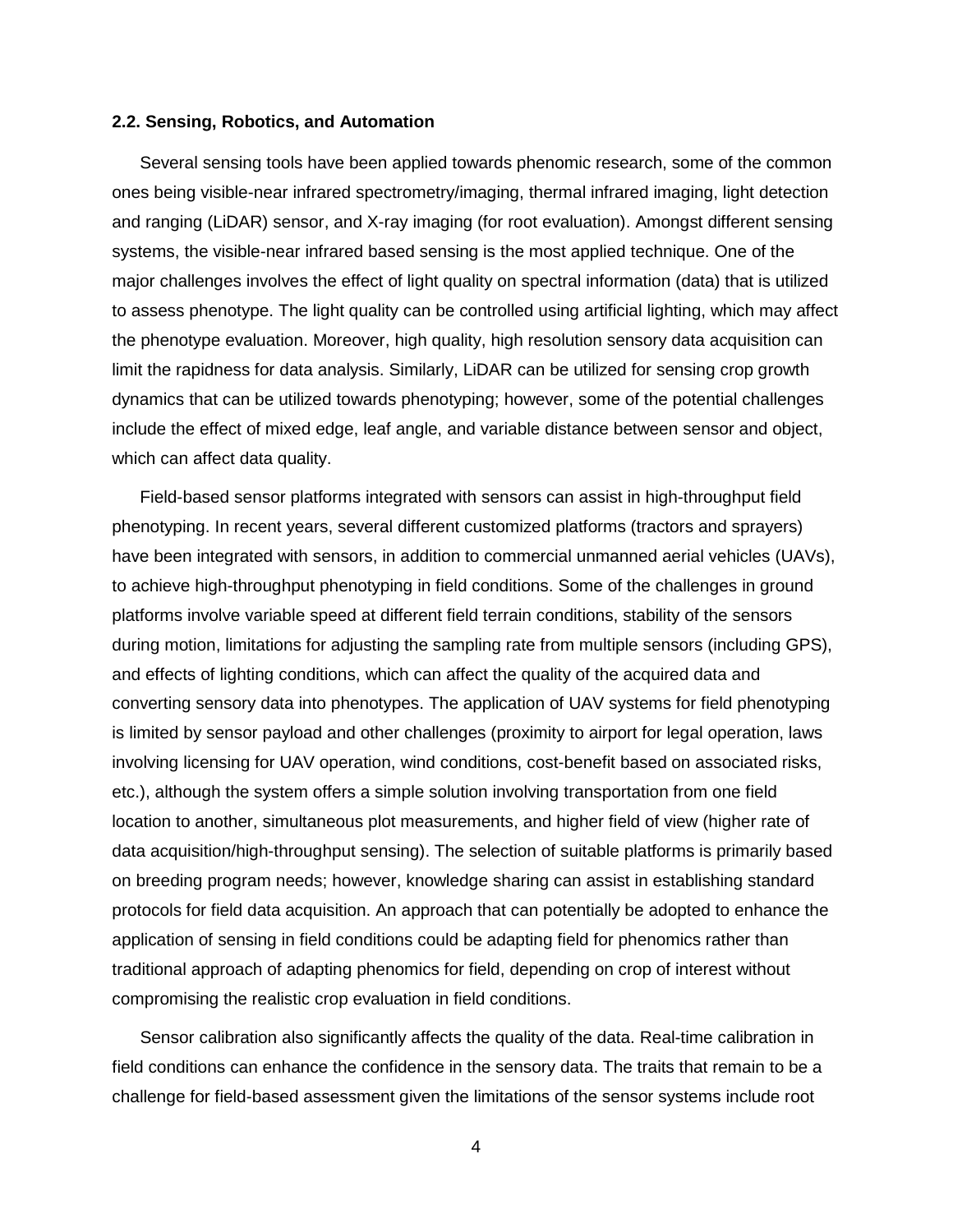#### <span id="page-5-0"></span>**2.2. Sensing, Robotics, and Automation**

Several sensing tools have been applied towards phenomic research, some of the common ones being visible-near infrared spectrometry/imaging, thermal infrared imaging, light detection and ranging (LiDAR) sensor, and X-ray imaging (for root evaluation). Amongst different sensing systems, the visible-near infrared based sensing is the most applied technique. One of the major challenges involves the effect of light quality on spectral information (data) that is utilized to assess phenotype. The light quality can be controlled using artificial lighting, which may affect the phenotype evaluation. Moreover, high quality, high resolution sensory data acquisition can limit the rapidness for data analysis. Similarly, LiDAR can be utilized for sensing crop growth dynamics that can be utilized towards phenotyping; however, some of the potential challenges include the effect of mixed edge, leaf angle, and variable distance between sensor and object, which can affect data quality.

Field-based sensor platforms integrated with sensors can assist in high-throughput field phenotyping. In recent years, several different customized platforms (tractors and sprayers) have been integrated with sensors, in addition to commercial unmanned aerial vehicles (UAVs), to achieve high-throughput phenotyping in field conditions. Some of the challenges in ground platforms involve variable speed at different field terrain conditions, stability of the sensors during motion, limitations for adjusting the sampling rate from multiple sensors (including GPS), and effects of lighting conditions, which can affect the quality of the acquired data and converting sensory data into phenotypes. The application of UAV systems for field phenotyping is limited by sensor payload and other challenges (proximity to airport for legal operation, laws involving licensing for UAV operation, wind conditions, cost-benefit based on associated risks, etc.), although the system offers a simple solution involving transportation from one field location to another, simultaneous plot measurements, and higher field of view (higher rate of data acquisition/high-throughput sensing). The selection of suitable platforms is primarily based on breeding program needs; however, knowledge sharing can assist in establishing standard protocols for field data acquisition. An approach that can potentially be adopted to enhance the application of sensing in field conditions could be adapting field for phenomics rather than traditional approach of adapting phenomics for field, depending on crop of interest without compromising the realistic crop evaluation in field conditions.

Sensor calibration also significantly affects the quality of the data. Real-time calibration in field conditions can enhance the confidence in the sensory data. The traits that remain to be a challenge for field-based assessment given the limitations of the sensor systems include root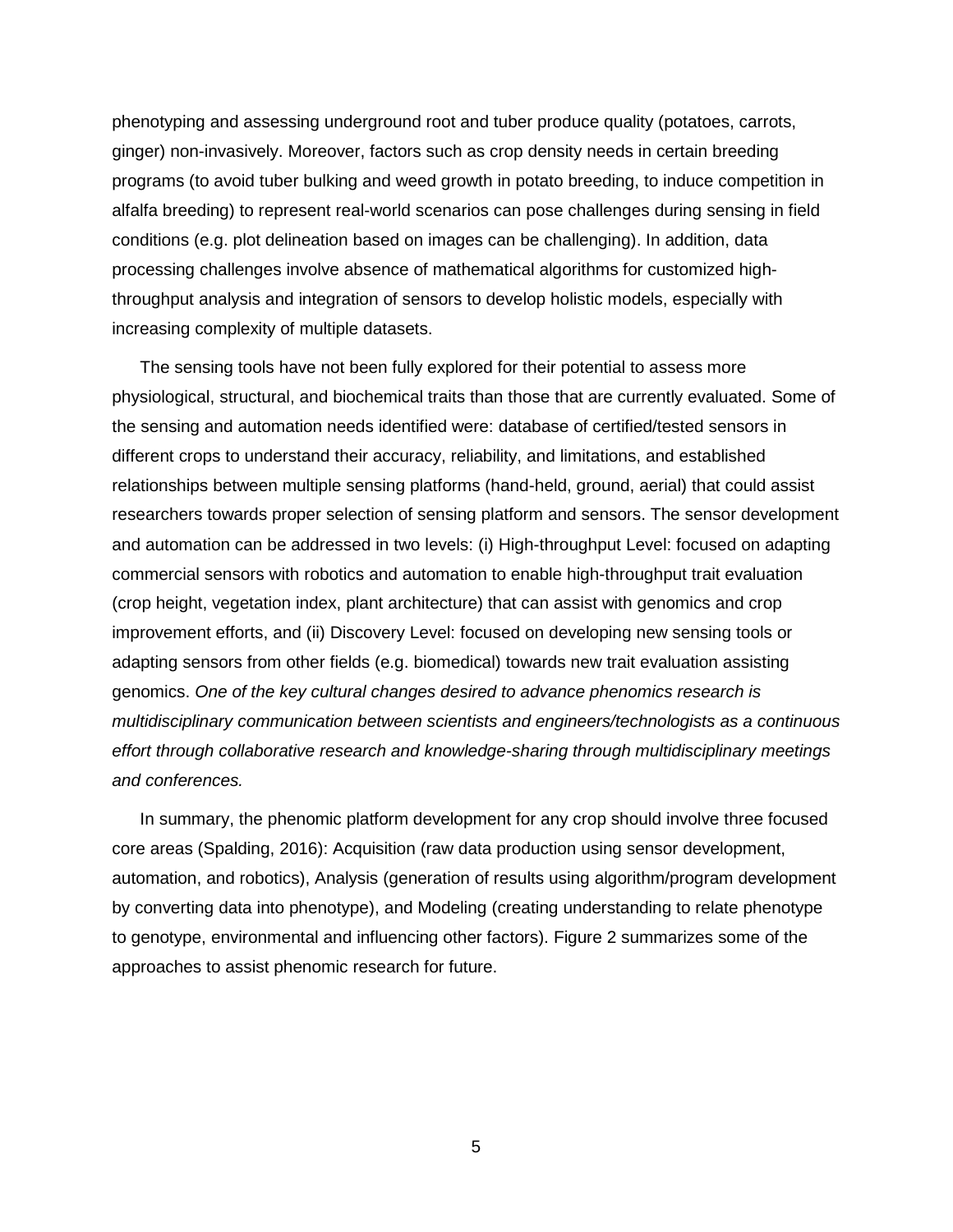phenotyping and assessing underground root and tuber produce quality (potatoes, carrots, ginger) non-invasively. Moreover, factors such as crop density needs in certain breeding programs (to avoid tuber bulking and weed growth in potato breeding, to induce competition in alfalfa breeding) to represent real-world scenarios can pose challenges during sensing in field conditions (e.g. plot delineation based on images can be challenging). In addition, data processing challenges involve absence of mathematical algorithms for customized highthroughput analysis and integration of sensors to develop holistic models, especially with increasing complexity of multiple datasets.

The sensing tools have not been fully explored for their potential to assess more physiological, structural, and biochemical traits than those that are currently evaluated. Some of the sensing and automation needs identified were: database of certified/tested sensors in different crops to understand their accuracy, reliability, and limitations, and established relationships between multiple sensing platforms (hand-held, ground, aerial) that could assist researchers towards proper selection of sensing platform and sensors. The sensor development and automation can be addressed in two levels: (i) High-throughput Level: focused on adapting commercial sensors with robotics and automation to enable high-throughput trait evaluation (crop height, vegetation index, plant architecture) that can assist with genomics and crop improvement efforts, and (ii) Discovery Level: focused on developing new sensing tools or adapting sensors from other fields (e.g. biomedical) towards new trait evaluation assisting genomics. *One of the key cultural changes desired to advance phenomics research is multidisciplinary communication between scientists and engineers/technologists as a continuous effort through collaborative research and knowledge-sharing through multidisciplinary meetings and conferences.* 

In summary, the phenomic platform development for any crop should involve three focused core areas (Spalding, 2016): Acquisition (raw data production using sensor development, automation, and robotics), Analysis (generation of results using algorithm/program development by converting data into phenotype), and Modeling (creating understanding to relate phenotype to genotype, environmental and influencing other factors). Figure 2 summarizes some of the approaches to assist phenomic research for future.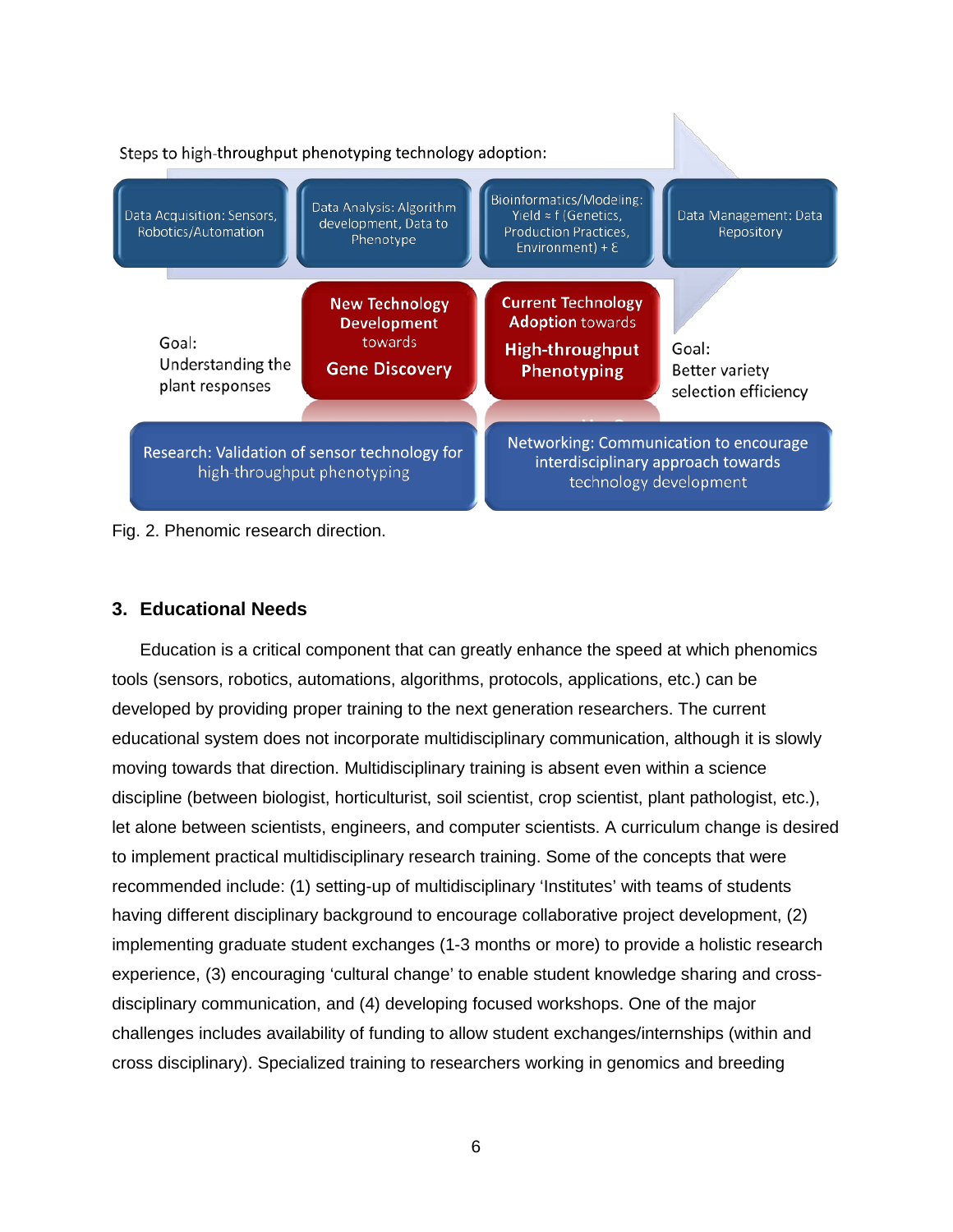

Fig. 2. Phenomic research direction.

## <span id="page-7-0"></span>**3. Educational Needs**

Education is a critical component that can greatly enhance the speed at which phenomics tools (sensors, robotics, automations, algorithms, protocols, applications, etc.) can be developed by providing proper training to the next generation researchers. The current educational system does not incorporate multidisciplinary communication, although it is slowly moving towards that direction. Multidisciplinary training is absent even within a science discipline (between biologist, horticulturist, soil scientist, crop scientist, plant pathologist, etc.), let alone between scientists, engineers, and computer scientists. A curriculum change is desired to implement practical multidisciplinary research training. Some of the concepts that were recommended include: (1) setting-up of multidisciplinary 'Institutes' with teams of students having different disciplinary background to encourage collaborative project development, (2) implementing graduate student exchanges (1-3 months or more) to provide a holistic research experience, (3) encouraging 'cultural change' to enable student knowledge sharing and crossdisciplinary communication, and (4) developing focused workshops. One of the major challenges includes availability of funding to allow student exchanges/internships (within and cross disciplinary). Specialized training to researchers working in genomics and breeding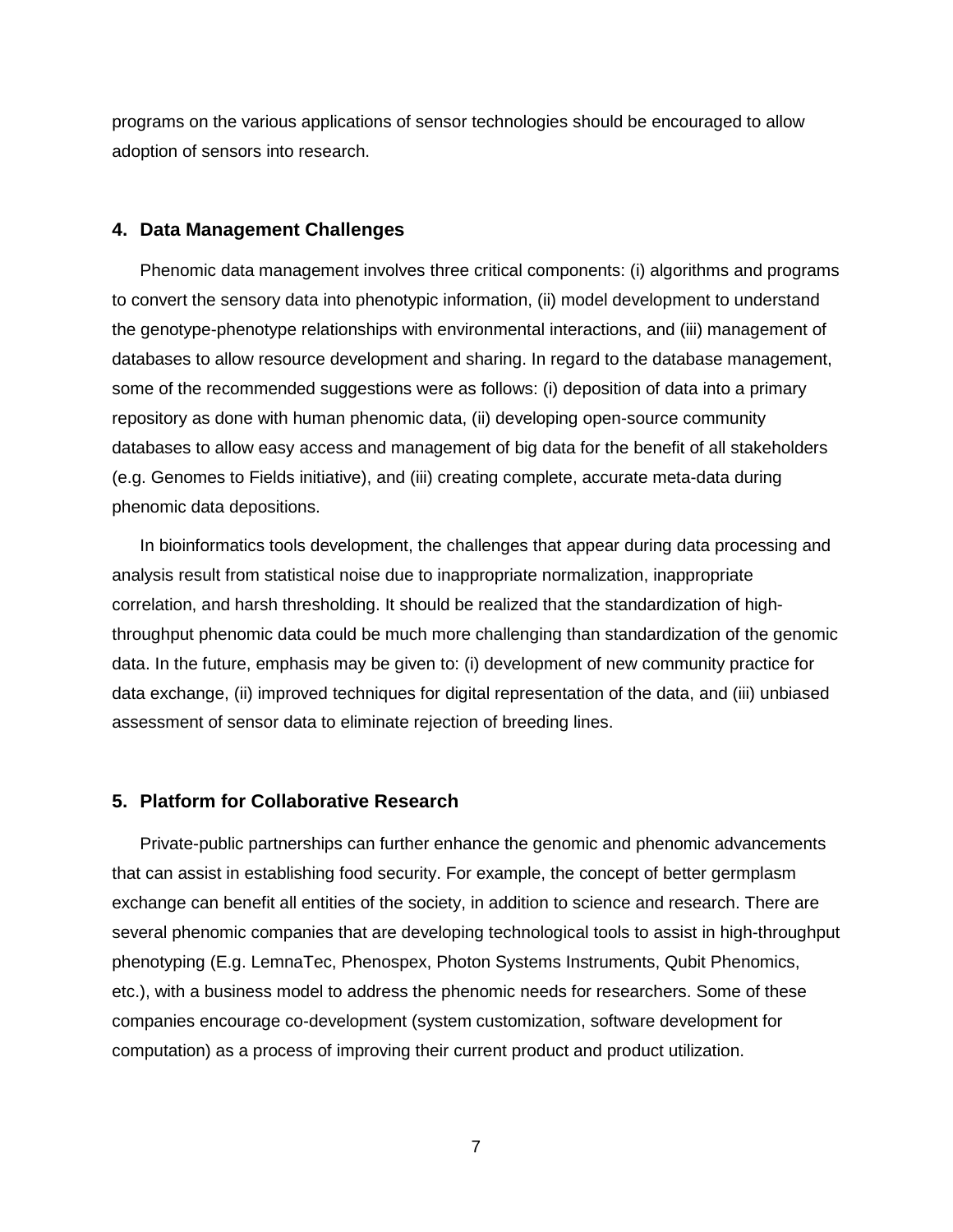programs on the various applications of sensor technologies should be encouraged to allow adoption of sensors into research.

#### <span id="page-8-0"></span>**4. Data Management Challenges**

Phenomic data management involves three critical components: (i) algorithms and programs to convert the sensory data into phenotypic information, (ii) model development to understand the genotype-phenotype relationships with environmental interactions, and (iii) management of databases to allow resource development and sharing. In regard to the database management, some of the recommended suggestions were as follows: (i) deposition of data into a primary repository as done with human phenomic data, (ii) developing open-source community databases to allow easy access and management of big data for the benefit of all stakeholders (e.g. Genomes to Fields initiative), and (iii) creating complete, accurate meta-data during phenomic data depositions.

In bioinformatics tools development, the challenges that appear during data processing and analysis result from statistical noise due to inappropriate normalization, inappropriate correlation, and harsh thresholding. It should be realized that the standardization of highthroughput phenomic data could be much more challenging than standardization of the genomic data. In the future, emphasis may be given to: (i) development of new community practice for data exchange, (ii) improved techniques for digital representation of the data, and (iii) unbiased assessment of sensor data to eliminate rejection of breeding lines.

## <span id="page-8-1"></span>**5. Platform for Collaborative Research**

Private-public partnerships can further enhance the genomic and phenomic advancements that can assist in establishing food security. For example, the concept of better germplasm exchange can benefit all entities of the society, in addition to science and research. There are several phenomic companies that are developing technological tools to assist in high-throughput phenotyping (E.g. LemnaTec, Phenospex, Photon Systems Instruments, Qubit Phenomics, etc.), with a business model to address the phenomic needs for researchers. Some of these companies encourage co-development (system customization, software development for computation) as a process of improving their current product and product utilization.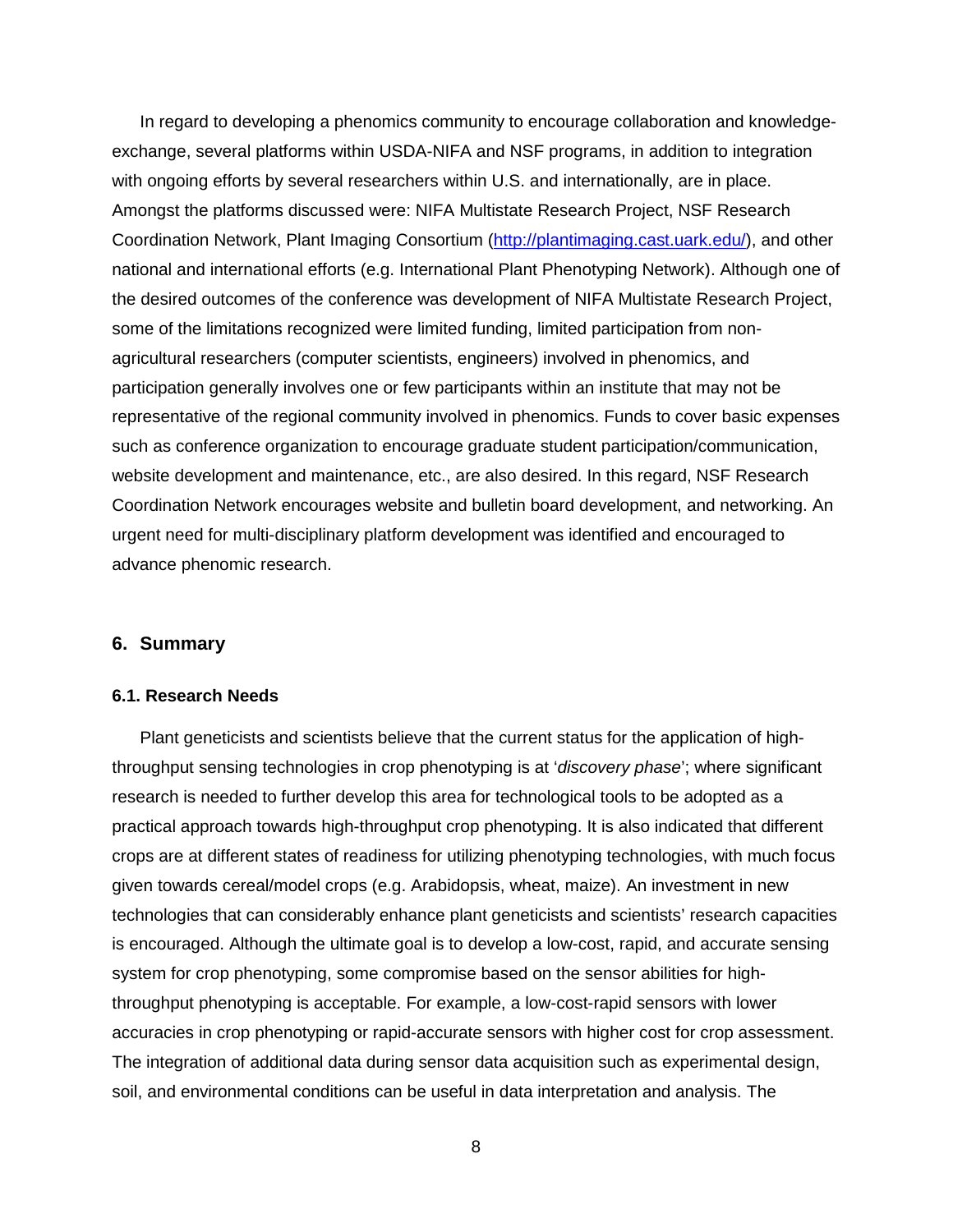In regard to developing a phenomics community to encourage collaboration and knowledgeexchange, several platforms within USDA-NIFA and NSF programs, in addition to integration with ongoing efforts by several researchers within U.S. and internationally, are in place. Amongst the platforms discussed were: NIFA Multistate Research Project, NSF Research Coordination Network, Plant Imaging Consortium [\(http://plantimaging.cast.uark.edu/\)](http://plantimaging.cast.uark.edu/), and other national and international efforts (e.g. International Plant Phenotyping Network). Although one of the desired outcomes of the conference was development of NIFA Multistate Research Project, some of the limitations recognized were limited funding, limited participation from nonagricultural researchers (computer scientists, engineers) involved in phenomics, and participation generally involves one or few participants within an institute that may not be representative of the regional community involved in phenomics. Funds to cover basic expenses such as conference organization to encourage graduate student participation/communication, website development and maintenance, etc., are also desired. In this regard, NSF Research Coordination Network encourages website and bulletin board development, and networking. An urgent need for multi-disciplinary platform development was identified and encouraged to advance phenomic research.

### <span id="page-9-0"></span>**6. Summary**

#### <span id="page-9-1"></span>**6.1. Research Needs**

Plant geneticists and scientists believe that the current status for the application of highthroughput sensing technologies in crop phenotyping is at '*discovery phase*'; where significant research is needed to further develop this area for technological tools to be adopted as a practical approach towards high-throughput crop phenotyping. It is also indicated that different crops are at different states of readiness for utilizing phenotyping technologies, with much focus given towards cereal/model crops (e.g. Arabidopsis, wheat, maize). An investment in new technologies that can considerably enhance plant geneticists and scientists' research capacities is encouraged. Although the ultimate goal is to develop a low-cost, rapid, and accurate sensing system for crop phenotyping, some compromise based on the sensor abilities for highthroughput phenotyping is acceptable. For example, a low-cost-rapid sensors with lower accuracies in crop phenotyping or rapid-accurate sensors with higher cost for crop assessment. The integration of additional data during sensor data acquisition such as experimental design, soil, and environmental conditions can be useful in data interpretation and analysis. The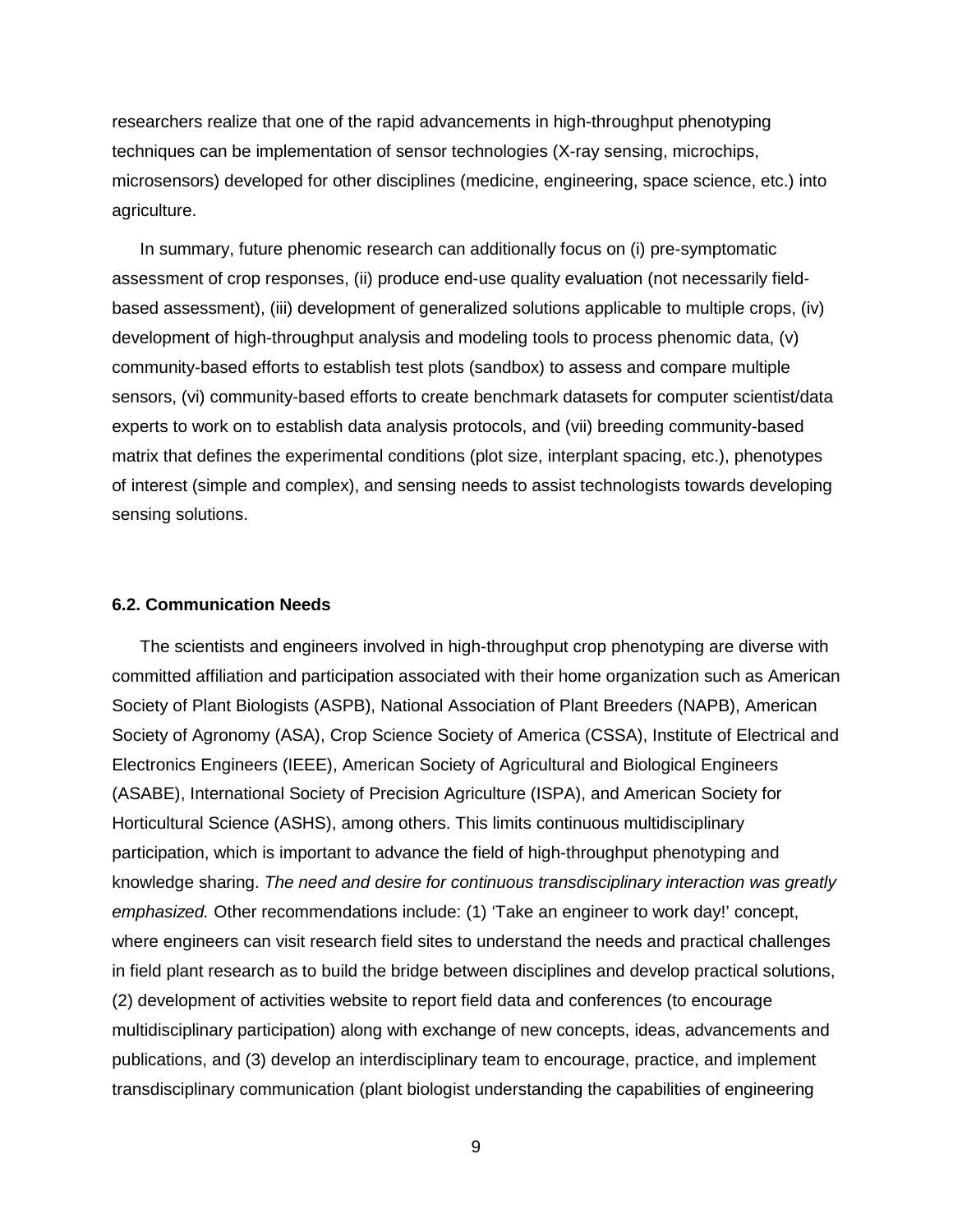researchers realize that one of the rapid advancements in high-throughput phenotyping techniques can be implementation of sensor technologies (X-ray sensing, microchips, microsensors) developed for other disciplines (medicine, engineering, space science, etc.) into agriculture.

In summary, future phenomic research can additionally focus on (i) pre-symptomatic assessment of crop responses, (ii) produce end-use quality evaluation (not necessarily fieldbased assessment), (iii) development of generalized solutions applicable to multiple crops, (iv) development of high-throughput analysis and modeling tools to process phenomic data, (v) community-based efforts to establish test plots (sandbox) to assess and compare multiple sensors, (vi) community-based efforts to create benchmark datasets for computer scientist/data experts to work on to establish data analysis protocols, and (vii) breeding community-based matrix that defines the experimental conditions (plot size, interplant spacing, etc.), phenotypes of interest (simple and complex), and sensing needs to assist technologists towards developing sensing solutions.

#### <span id="page-10-0"></span>**6.2. Communication Needs**

The scientists and engineers involved in high-throughput crop phenotyping are diverse with committed affiliation and participation associated with their home organization such as American Society of Plant Biologists (ASPB), National Association of Plant Breeders (NAPB), American Society of Agronomy (ASA), Crop Science Society of America (CSSA), Institute of Electrical and Electronics Engineers (IEEE), American Society of Agricultural and Biological Engineers (ASABE), International Society of Precision Agriculture (ISPA), and American Society for Horticultural Science (ASHS), among others. This limits continuous multidisciplinary participation, which is important to advance the field of high-throughput phenotyping and knowledge sharing. *The need and desire for continuous transdisciplinary interaction was greatly emphasized.* Other recommendations include: (1) 'Take an engineer to work day!' concept, where engineers can visit research field sites to understand the needs and practical challenges in field plant research as to build the bridge between disciplines and develop practical solutions, (2) development of activities website to report field data and conferences (to encourage multidisciplinary participation) along with exchange of new concepts, ideas, advancements and publications, and (3) develop an interdisciplinary team to encourage, practice, and implement transdisciplinary communication (plant biologist understanding the capabilities of engineering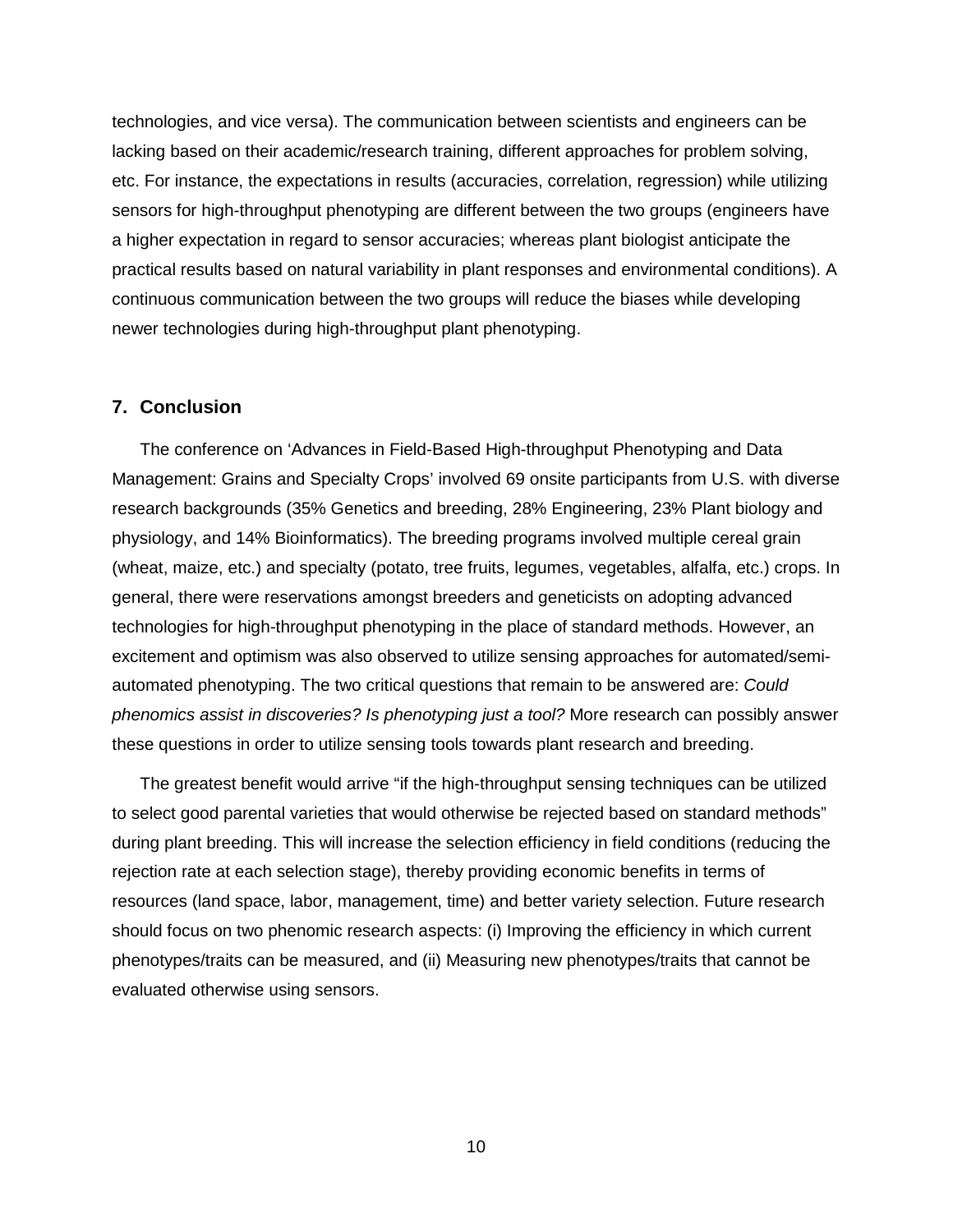technologies, and vice versa). The communication between scientists and engineers can be lacking based on their academic/research training, different approaches for problem solving, etc. For instance, the expectations in results (accuracies, correlation, regression) while utilizing sensors for high-throughput phenotyping are different between the two groups (engineers have a higher expectation in regard to sensor accuracies; whereas plant biologist anticipate the practical results based on natural variability in plant responses and environmental conditions). A continuous communication between the two groups will reduce the biases while developing newer technologies during high-throughput plant phenotyping.

#### <span id="page-11-0"></span>**7. Conclusion**

The conference on 'Advances in Field-Based High-throughput Phenotyping and Data Management: Grains and Specialty Crops' involved 69 onsite participants from U.S. with diverse research backgrounds (35% Genetics and breeding, 28% Engineering, 23% Plant biology and physiology, and 14% Bioinformatics). The breeding programs involved multiple cereal grain (wheat, maize, etc.) and specialty (potato, tree fruits, legumes, vegetables, alfalfa, etc.) crops. In general, there were reservations amongst breeders and geneticists on adopting advanced technologies for high-throughput phenotyping in the place of standard methods. However, an excitement and optimism was also observed to utilize sensing approaches for automated/semiautomated phenotyping. The two critical questions that remain to be answered are: *Could phenomics assist in discoveries? Is phenotyping just a tool?* More research can possibly answer these questions in order to utilize sensing tools towards plant research and breeding.

The greatest benefit would arrive "if the high-throughput sensing techniques can be utilized to select good parental varieties that would otherwise be rejected based on standard methods" during plant breeding. This will increase the selection efficiency in field conditions (reducing the rejection rate at each selection stage), thereby providing economic benefits in terms of resources (land space, labor, management, time) and better variety selection. Future research should focus on two phenomic research aspects: (i) Improving the efficiency in which current phenotypes/traits can be measured, and (ii) Measuring new phenotypes/traits that cannot be evaluated otherwise using sensors.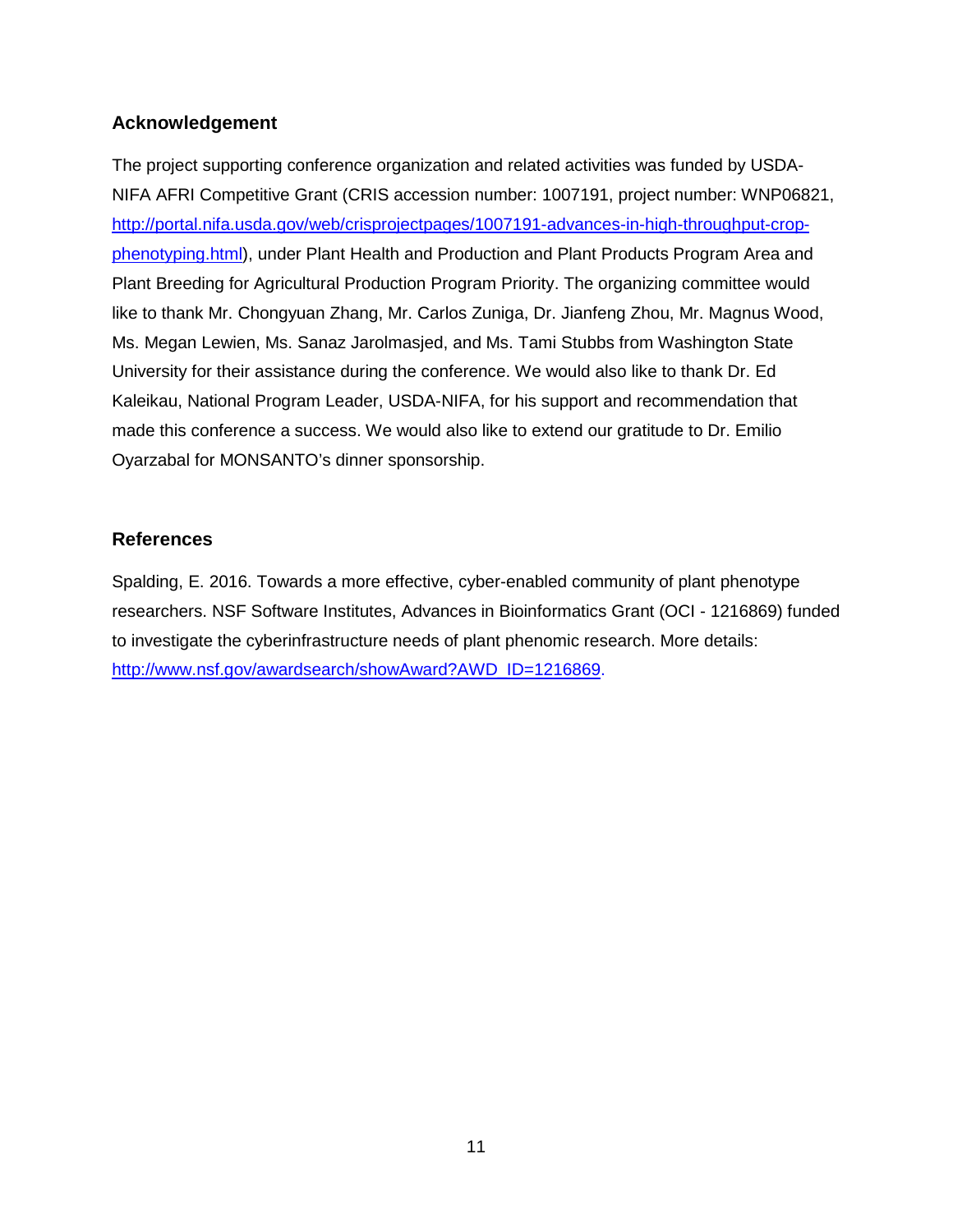## <span id="page-12-0"></span>**Acknowledgement**

The project supporting conference organization and related activities was funded by USDA-NIFA AFRI Competitive Grant (CRIS accession number: 1007191, project number: WNP06821, [http://portal.nifa.usda.gov/web/crisprojectpages/1007191-advances-in-high-throughput-crop](http://portal.nifa.usda.gov/web/crisprojectpages/1007191-advances-in-high-throughput-crop-phenotyping.html)[phenotyping.html\)](http://portal.nifa.usda.gov/web/crisprojectpages/1007191-advances-in-high-throughput-crop-phenotyping.html), under Plant Health and Production and Plant Products Program Area and Plant Breeding for Agricultural Production Program Priority. The organizing committee would like to thank Mr. Chongyuan Zhang, Mr. Carlos Zuniga, Dr. Jianfeng Zhou, Mr. Magnus Wood, Ms. Megan Lewien, Ms. Sanaz Jarolmasjed, and Ms. Tami Stubbs from Washington State University for their assistance during the conference. We would also like to thank Dr. Ed Kaleikau, National Program Leader, USDA-NIFA, for his support and recommendation that made this conference a success. We would also like to extend our gratitude to Dr. Emilio Oyarzabal for MONSANTO's dinner sponsorship.

## <span id="page-12-1"></span>**References**

Spalding, E. 2016. Towards a more effective, cyber-enabled community of plant phenotype researchers. NSF Software Institutes, Advances in Bioinformatics Grant (OCI - 1216869) funded to investigate the cyberinfrastructure needs of plant phenomic research. More details: [http://www.nsf.gov/awardsearch/showAward?AWD\\_ID=1216869.](http://www.nsf.gov/awardsearch/showAward?AWD_ID=1216869)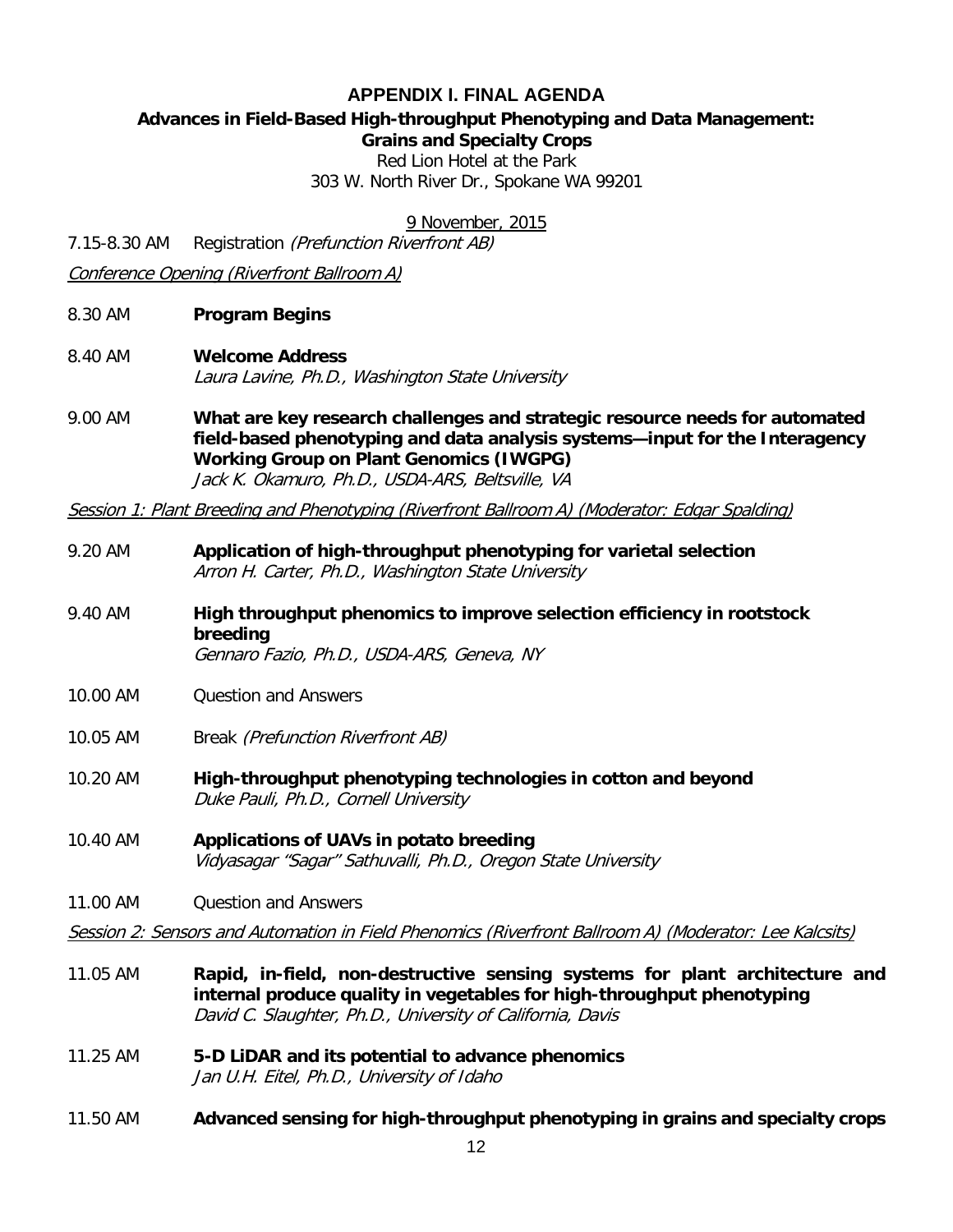## **APPENDIX I. FINAL AGENDA**

## <span id="page-13-0"></span>**Advances in Field-Based High-throughput Phenotyping and Data Management:**

**Grains and Specialty Crops**

Red Lion Hotel at the Park

303 W. North River Dr., Spokane WA 99201

9 November, 2015

7.15-8.30 AM Registration (Prefunction Riverfront AB)

Conference Opening (Riverfront Ballroom A)

- 8.30 AM **Program Begins**
- 8.40 AM **Welcome Address** Laura Lavine, Ph.D., Washington State University
- 9.00 AM **What are key research challenges and strategic resource needs for automated field-based phenotyping and data analysis systems—input for the Interagency Working Group on Plant Genomics (IWGPG)** Jack K. Okamuro, Ph.D., USDA-ARS, Beltsville, VA

Session 1: Plant Breeding and Phenotyping (Riverfront Ballroom A) (Moderator: Edgar Spalding)

- 9.20 AM **Application of high-throughput phenotyping for varietal selection** Arron H. Carter, Ph.D., Washington State University
- 9.40 AM **High throughput phenomics to improve selection efficiency in rootstock breeding** Gennaro Fazio, Ph.D., USDA-ARS, Geneva, NY
- 10.00 AM Question and Answers
- 10.05 AM Break (Prefunction Riverfront AB)
- 10.20 AM **High-throughput phenotyping technologies in cotton and beyond** Duke Pauli, Ph.D., Cornell University
- 10.40 AM **Applications of UAVs in potato breeding** Vidyasagar "Sagar" Sathuvalli, Ph.D., Oregon State University
- 11.00 AM Ouestion and Answers

Session 2: Sensors and Automation in Field Phenomics (Riverfront Ballroom A) (Moderator: Lee Kalcsits)

- 11.05 AM **Rapid, in-field, non-destructive sensing systems for plant architecture and internal produce quality in vegetables for high-throughput phenotyping** David C. Slaughter, Ph.D., University of California, Davis
- 11.25 AM **5-D LiDAR and its potential to advance phenomics** Jan U.H. Eitel, Ph.D., University of Idaho
- 11.50 AM **Advanced sensing for high-throughput phenotyping in grains and specialty crops**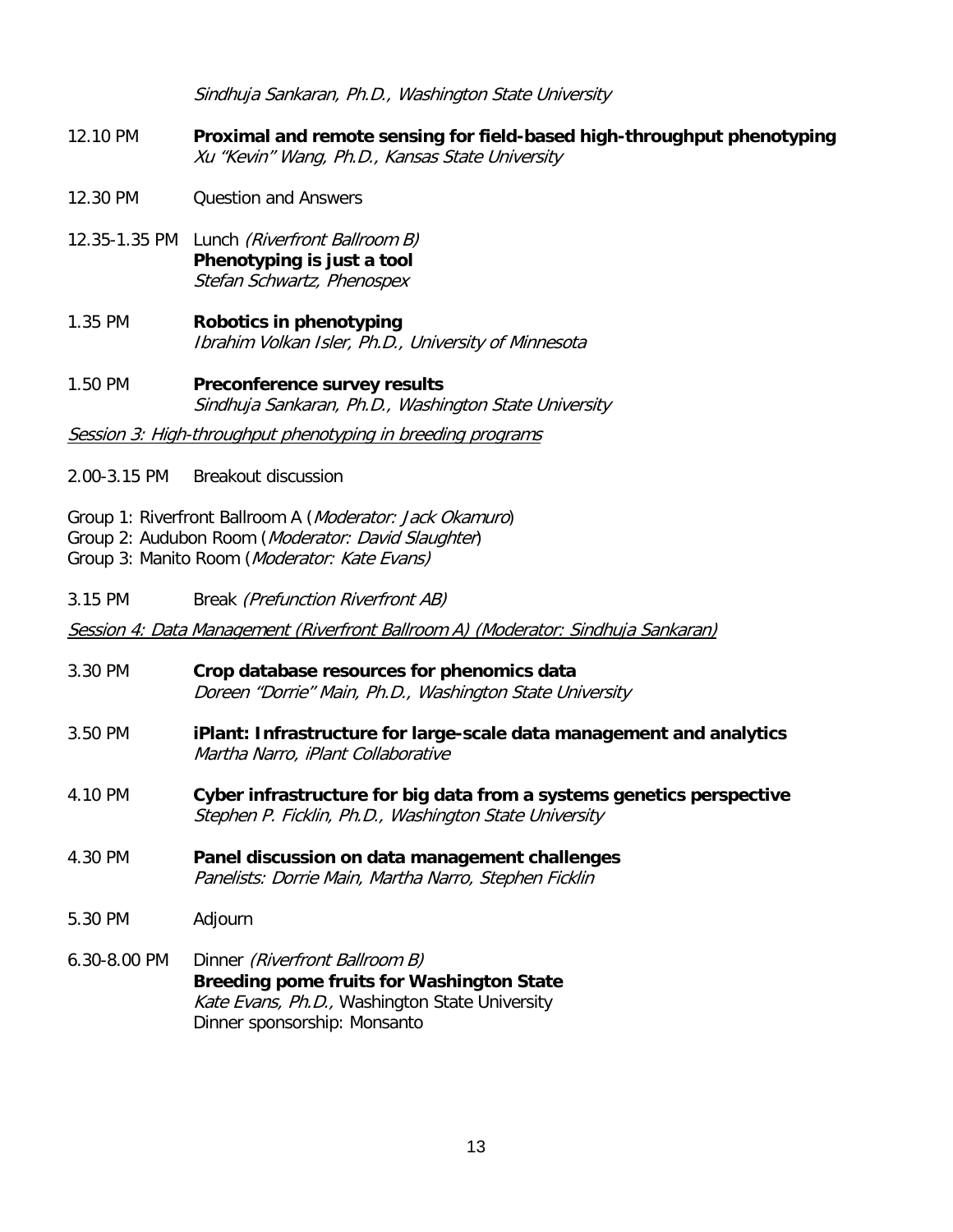Sindhuja Sankaran, Ph.D., Washington State University

- 12.10 PM **Proximal and remote sensing for field-based high-throughput phenotyping** Xu "Kevin" Wang, Ph.D., Kansas State University
- 12.30 PM Question and Answers
- 12.35-1.35 PM Lunch (Riverfront Ballroom B) **Phenotyping is just a tool** Stefan Schwartz, Phenospex
- 1.35 PM **Robotics in phenotyping** Ibrahim Volkan Isler, Ph.D., University of Minnesota
- 1.50 PM **Preconference survey results** Sindhuja Sankaran, Ph.D., Washington State University

Session 3: High-throughput phenotyping in breeding programs

- 2.00-3.15 PM Breakout discussion
- Group 1: Riverfront Ballroom A (Moderator: Jack Okamuro)
- Group 2: Audubon Room (Moderator: David Slaughter)
- Group 3: Manito Room (Moderator: Kate Evans)

3.15 PM Break (Prefunction Riverfront AB)

Session 4: Data Management (Riverfront Ballroom A) (Moderator: Sindhuja Sankaran)

- 3.30 PM **Crop database resources for phenomics data** Doreen "Dorrie" Main, Ph.D., Washington State University
- 3.50 PM **iPlant: Infrastructure for large-scale data management and analytics** Martha Narro, iPlant Collaborative
- 4.10 PM **Cyber infrastructure for big data from a systems genetics perspective** Stephen P. Ficklin, Ph.D., Washington State University
- 4.30 PM **Panel discussion on data management challenges** Panelists: Dorrie Main, Martha Narro, Stephen Ficklin
- 5.30 PM Adjourn
- 6.30-8.00 PM Dinner (Riverfront Ballroom B) **Breeding pome fruits for Washington State** Kate Evans, Ph.D., Washington State University Dinner sponsorship: Monsanto